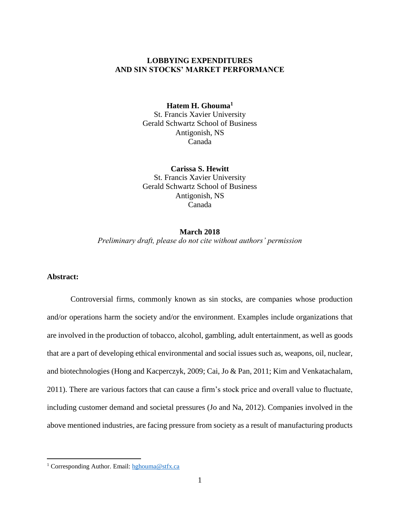## **LOBBYING EXPENDITURES AND SIN STOCKS' MARKET PERFORMANCE**

## **Hatem H. Ghouma<sup>1</sup>**

St. Francis Xavier University Gerald Schwartz School of Business Antigonish, NS Canada

**Carissa S. Hewitt** St. Francis Xavier University Gerald Schwartz School of Business Antigonish, NS Canada

## **March 2018** *Preliminary draft, please do not cite without authors' permission*

## **Abstract:**

 $\overline{a}$ 

Controversial firms, commonly known as sin stocks, are companies whose production and/or operations harm the society and/or the environment. Examples include organizations that are involved in the production of tobacco, alcohol, gambling, adult entertainment, as well as goods that are a part of developing ethical environmental and social issues such as, weapons, oil, nuclear, and biotechnologies (Hong and Kacperczyk, 2009; Cai, Jo & Pan, 2011; Kim and Venkatachalam, 2011). There are various factors that can cause a firm's stock price and overall value to fluctuate, including customer demand and societal pressures (Jo and Na, 2012). Companies involved in the above mentioned industries, are facing pressure from society as a result of manufacturing products

<sup>&</sup>lt;sup>1</sup> Corresponding Author. Email: [hghouma@stfx.ca](mailto:hghouma@stfx.ca)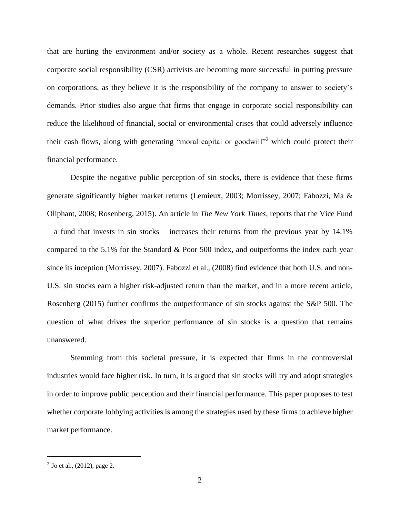that are hurting the environment and/or society as a whole. Recent researches suggest that corporate social responsibility (CSR) activists are becoming more successful in putting pressure on corporations, as they believe it is the responsibility of the company to answer to society's demands. Prior studies also argue that firms that engage in corporate social responsibility can reduce the likelihood of financial, social or environmental crises that could adversely influence their cash flows, along with generating "moral capital or goodwill"<sup>2</sup> which could protect their financial performance.

Despite the negative public perception of sin stocks, there is evidence that these firms generate significantly higher market returns (Lemieux, 2003; Morrissey, 2007; Fabozzi, Ma & Oliphant, 2008; Rosenberg, 2015). An article in *The New York Times*, reports that the Vice Fund – a fund that invests in sin stocks – increases their returns from the previous year by 14.1% compared to the 5.1% for the Standard & Poor 500 index, and outperforms the index each year since its inception (Morrissey, 2007). Fabozzi et al., (2008) find evidence that both U.S. and non-U.S. sin stocks earn a higher risk-adjusted return than the market, and in a more recent article, Rosenberg (2015) further confirms the outperformance of sin stocks against the S&P 500. The question of what drives the superior performance of sin stocks is a question that remains unanswered.

Stemming from this societal pressure, it is expected that firms in the controversial industries would face higher risk. In turn, it is argued that sin stocks will try and adopt strategies in order to improve public perception and their financial performance. This paper proposes to test whether corporate lobbying activities is among the strategies used by these firms to achieve higher market performance.

 $\overline{a}$ 

<sup>&</sup>lt;sup>2</sup> Jo et al., (2012), page 2.